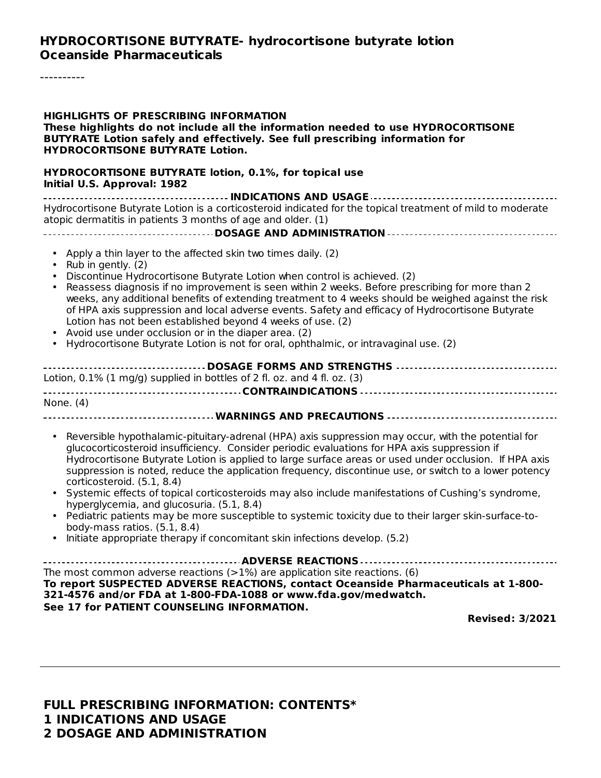#### **HYDROCORTISONE BUTYRATE- hydrocortisone butyrate lotion Oceanside Pharmaceuticals**

----------

| <b>HIGHLIGHTS OF PRESCRIBING INFORMATION</b><br>These highlights do not include all the information needed to use HYDROCORTISONE<br>BUTYRATE Lotion safely and effectively. See full prescribing information for<br><b>HYDROCORTISONE BUTYRATE Lotion.</b>                                                                                                                                                                                                                                                                                                                                                                                                                                                                                                                                                                                   |  |  |  |  |
|----------------------------------------------------------------------------------------------------------------------------------------------------------------------------------------------------------------------------------------------------------------------------------------------------------------------------------------------------------------------------------------------------------------------------------------------------------------------------------------------------------------------------------------------------------------------------------------------------------------------------------------------------------------------------------------------------------------------------------------------------------------------------------------------------------------------------------------------|--|--|--|--|
| HYDROCORTISONE BUTYRATE lotion, 0.1%, for topical use<br>Initial U.S. Approval: 1982                                                                                                                                                                                                                                                                                                                                                                                                                                                                                                                                                                                                                                                                                                                                                         |  |  |  |  |
| Hydrocortisone Butyrate Lotion is a corticosteroid indicated for the topical treatment of mild to moderate<br>atopic dermatitis in patients 3 months of age and older. (1)                                                                                                                                                                                                                                                                                                                                                                                                                                                                                                                                                                                                                                                                   |  |  |  |  |
| • Apply a thin layer to the affected skin two times daily. (2)<br>Rub in gently. (2)<br>Discontinue Hydrocortisone Butyrate Lotion when control is achieved. (2)<br>Reassess diagnosis if no improvement is seen within 2 weeks. Before prescribing for more than 2<br>weeks, any additional benefits of extending treatment to 4 weeks should be weighed against the risk<br>of HPA axis suppression and local adverse events. Safety and efficacy of Hydrocortisone Butyrate<br>Lotion has not been established beyond 4 weeks of use. (2)<br>Avoid use under occlusion or in the diaper area. (2)<br>Hydrocortisone Butyrate Lotion is not for oral, ophthalmic, or intravaginal use. (2)                                                                                                                                                 |  |  |  |  |
| Lotion, $0.1\%$ (1 mg/g) supplied in bottles of 2 fl. oz. and 4 fl. oz. (3)                                                                                                                                                                                                                                                                                                                                                                                                                                                                                                                                                                                                                                                                                                                                                                  |  |  |  |  |
| None. (4)                                                                                                                                                                                                                                                                                                                                                                                                                                                                                                                                                                                                                                                                                                                                                                                                                                    |  |  |  |  |
| Reversible hypothalamic-pituitary-adrenal (HPA) axis suppression may occur, with the potential for<br>$\bullet$<br>glucocorticosteroid insufficiency. Consider periodic evaluations for HPA axis suppression if<br>Hydrocortisone Butyrate Lotion is applied to large surface areas or used under occlusion. If HPA axis<br>suppression is noted, reduce the application frequency, discontinue use, or switch to a lower potency<br>corticosteroid. (5.1, 8.4)<br>• Systemic effects of topical corticosteroids may also include manifestations of Cushing's syndrome,<br>hyperglycemia, and glucosuria. (5.1, 8.4)<br>• Pediatric patients may be more susceptible to systemic toxicity due to their larger skin-surface-to-<br>body-mass ratios. (5.1, 8.4)<br>Initiate appropriate therapy if concomitant skin infections develop. (5.2) |  |  |  |  |
| The most common adverse reactions $(>1%)$ are application site reactions. (6)<br>To report SUSPECTED ADVERSE REACTIONS, contact Oceanside Pharmaceuticals at 1-800-<br>321-4576 and/or FDA at 1-800-FDA-1088 or www.fda.gov/medwatch.<br>See 17 for PATIENT COUNSELING INFORMATION.                                                                                                                                                                                                                                                                                                                                                                                                                                                                                                                                                          |  |  |  |  |
| <b>Revised: 3/2021</b>                                                                                                                                                                                                                                                                                                                                                                                                                                                                                                                                                                                                                                                                                                                                                                                                                       |  |  |  |  |
|                                                                                                                                                                                                                                                                                                                                                                                                                                                                                                                                                                                                                                                                                                                                                                                                                                              |  |  |  |  |

**FULL PRESCRIBING INFORMATION: CONTENTS\* 1 INDICATIONS AND USAGE 2 DOSAGE AND ADMINISTRATION**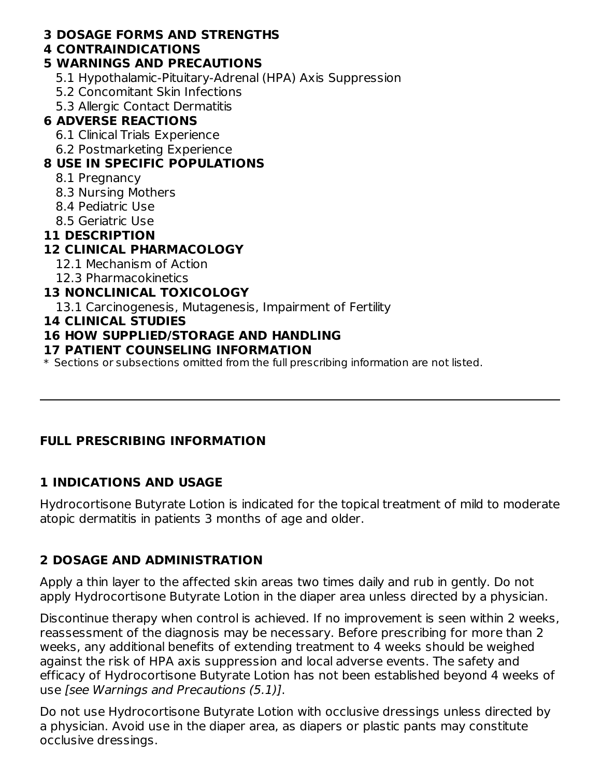#### **3 DOSAGE FORMS AND STRENGTHS**

#### **4 CONTRAINDICATIONS**

#### **5 WARNINGS AND PRECAUTIONS**

- 5.1 Hypothalamic-Pituitary-Adrenal (HPA) Axis Suppression
- 5.2 Concomitant Skin Infections
- 5.3 Allergic Contact Dermatitis

## **6 ADVERSE REACTIONS**

- 6.1 Clinical Trials Experience
- 6.2 Postmarketing Experience

## **8 USE IN SPECIFIC POPULATIONS**

- 8.1 Pregnancy
- 8.3 Nursing Mothers
- 8.4 Pediatric Use
- 8.5 Geriatric Use

#### **11 DESCRIPTION**

## **12 CLINICAL PHARMACOLOGY**

- 12.1 Mechanism of Action
- 12.3 Pharmacokinetics

## **13 NONCLINICAL TOXICOLOGY**

13.1 Carcinogenesis, Mutagenesis, Impairment of Fertility

#### **14 CLINICAL STUDIES**

#### **16 HOW SUPPLIED/STORAGE AND HANDLING**

#### **17 PATIENT COUNSELING INFORMATION**

 $\ast$  Sections or subsections omitted from the full prescribing information are not listed.

## **FULL PRESCRIBING INFORMATION**

## **1 INDICATIONS AND USAGE**

Hydrocortisone Butyrate Lotion is indicated for the topical treatment of mild to moderate atopic dermatitis in patients 3 months of age and older.

## **2 DOSAGE AND ADMINISTRATION**

Apply a thin layer to the affected skin areas two times daily and rub in gently. Do not apply Hydrocortisone Butyrate Lotion in the diaper area unless directed by a physician.

Discontinue therapy when control is achieved. If no improvement is seen within 2 weeks, reassessment of the diagnosis may be necessary. Before prescribing for more than 2 weeks, any additional benefits of extending treatment to 4 weeks should be weighed against the risk of HPA axis suppression and local adverse events. The safety and efficacy of Hydrocortisone Butyrate Lotion has not been established beyond 4 weeks of use [see Warnings and Precautions (5.1)].

Do not use Hydrocortisone Butyrate Lotion with occlusive dressings unless directed by a physician. Avoid use in the diaper area, as diapers or plastic pants may constitute occlusive dressings.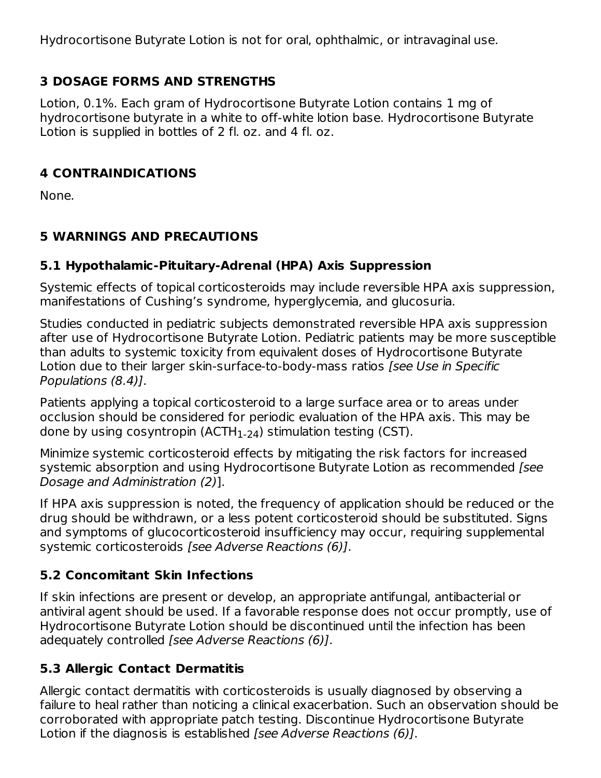Hydrocortisone Butyrate Lotion is not for oral, ophthalmic, or intravaginal use.

## **3 DOSAGE FORMS AND STRENGTHS**

Lotion, 0.1%. Each gram of Hydrocortisone Butyrate Lotion contains 1 mg of hydrocortisone butyrate in a white to off-white lotion base. Hydrocortisone Butyrate Lotion is supplied in bottles of 2 fl. oz. and 4 fl. oz.

## **4 CONTRAINDICATIONS**

None.

# **5 WARNINGS AND PRECAUTIONS**

## **5.1 Hypothalamic-Pituitary-Adrenal (HPA) Axis Suppression**

Systemic effects of topical corticosteroids may include reversible HPA axis suppression, manifestations of Cushing's syndrome, hyperglycemia, and glucosuria.

Studies conducted in pediatric subjects demonstrated reversible HPA axis suppression after use of Hydrocortisone Butyrate Lotion. Pediatric patients may be more susceptible than adults to systemic toxicity from equivalent doses of Hydrocortisone Butyrate Lotion due to their larger skin-surface-to-body-mass ratios [see Use in Specific Populations (8.4)].

Patients applying a topical corticosteroid to a large surface area or to areas under occlusion should be considered for periodic evaluation of the HPA axis. This may be done by using cosyntropin (ACTH $_{\rm 1\text{-}24}$ ) stimulation testing (CST).

Minimize systemic corticosteroid effects by mitigating the risk factors for increased systemic absorption and using Hydrocortisone Butyrate Lotion as recommended [see Dosage and Administration (2)].

If HPA axis suppression is noted, the frequency of application should be reduced or the drug should be withdrawn, or a less potent corticosteroid should be substituted. Signs and symptoms of glucocorticosteroid insufficiency may occur, requiring supplemental systemic corticosteroids *[see Adverse Reactions (6)]*.

# **5.2 Concomitant Skin Infections**

If skin infections are present or develop, an appropriate antifungal, antibacterial or antiviral agent should be used. If a favorable response does not occur promptly, use of Hydrocortisone Butyrate Lotion should be discontinued until the infection has been adequately controlled [see Adverse Reactions (6)].

# **5.3 Allergic Contact Dermatitis**

Allergic contact dermatitis with corticosteroids is usually diagnosed by observing a failure to heal rather than noticing a clinical exacerbation. Such an observation should be corroborated with appropriate patch testing. Discontinue Hydrocortisone Butyrate Lotion if the diagnosis is established [see Adverse Reactions (6)].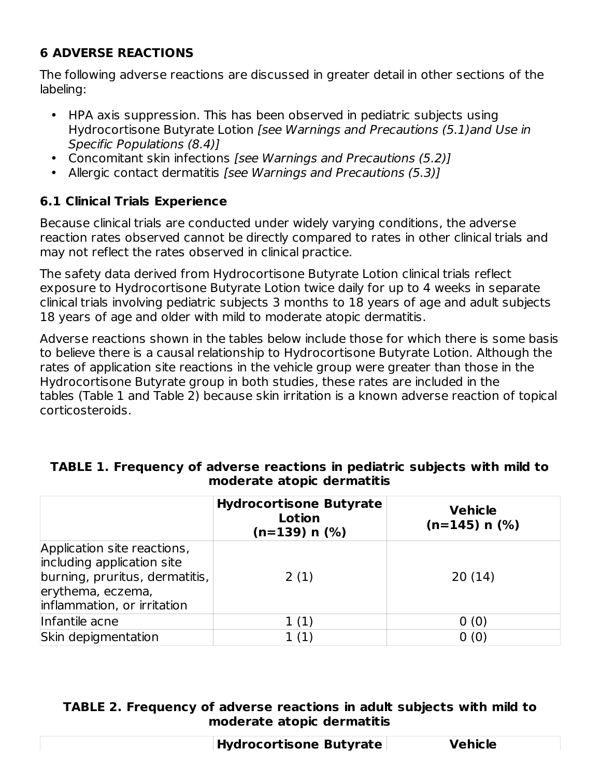# **6 ADVERSE REACTIONS**

The following adverse reactions are discussed in greater detail in other sections of the labeling:

- HPA axis suppression. This has been observed in pediatric subjects using Hydrocortisone Butyrate Lotion [see Warnings and Precautions (5.1)and Use in Specific Populations (8.4)]
- Concomitant skin infections [see Warnings and Precautions (5.2)]
- Allergic contact dermatitis [see Warnings and Precautions (5.3)]

## **6.1 Clinical Trials Experience**

Because clinical trials are conducted under widely varying conditions, the adverse reaction rates observed cannot be directly compared to rates in other clinical trials and may not reflect the rates observed in clinical practice.

The safety data derived from Hydrocortisone Butyrate Lotion clinical trials reflect exposure to Hydrocortisone Butyrate Lotion twice daily for up to 4 weeks in separate clinical trials involving pediatric subjects 3 months to 18 years of age and adult subjects 18 years of age and older with mild to moderate atopic dermatitis.

Adverse reactions shown in the tables below include those for which there is some basis to believe there is a causal relationship to Hydrocortisone Butyrate Lotion. Although the rates of application site reactions in the vehicle group were greater than those in the Hydrocortisone Butyrate group in both studies, these rates are included in the tables (Table 1 and Table 2) because skin irritation is a known adverse reaction of topical corticosteroids.

|                                                                                                                                                 | <b>Hydrocortisone Butyrate</b><br>Lotion<br>$(n=139)$ n $(\%)$ | <b>Vehicle</b><br>$(n=145)$ n $(\%)$ |
|-------------------------------------------------------------------------------------------------------------------------------------------------|----------------------------------------------------------------|--------------------------------------|
| Application site reactions,<br>including application site<br>burning, pruritus, dermatitis,<br>erythema, eczema,<br>inflammation, or irritation | 2(1)                                                           | 20(14)                               |
| Infantile acne                                                                                                                                  | 1(1)                                                           | 0(0)                                 |
| Skin depigmentation                                                                                                                             | 1(1)                                                           | 0(0)                                 |

#### **TABLE 1. Frequency of adverse reactions in pediatric subjects with mild to moderate atopic dermatitis**

#### **TABLE 2. Frequency of adverse reactions in adult subjects with mild to moderate atopic dermatitis**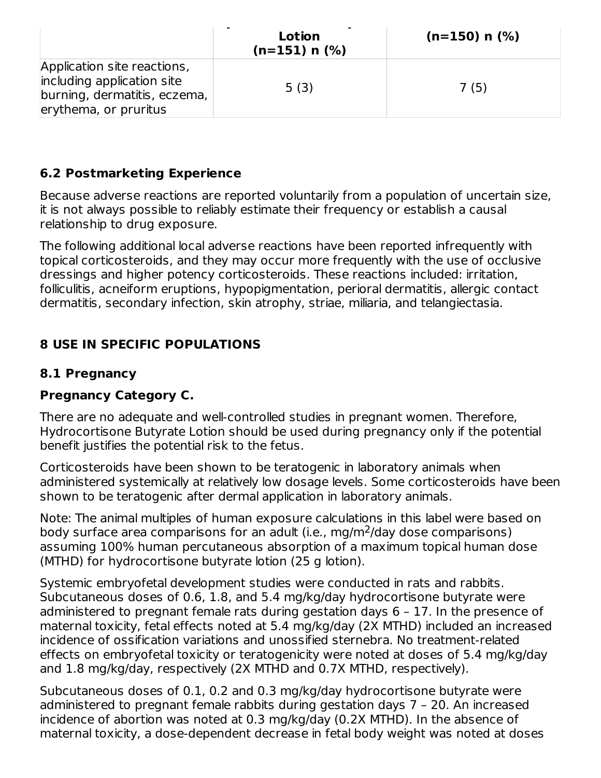|                                                                                                                    | Lotion<br>$(n=151)$ n $(\%)$ | $(n=150)$ n $(\%)$ |
|--------------------------------------------------------------------------------------------------------------------|------------------------------|--------------------|
| Application site reactions,<br>including application site<br>burning, dermatitis, eczema,<br>erythema, or pruritus | 5(3)                         | 7(5)               |

#### **6.2 Postmarketing Experience**

Because adverse reactions are reported voluntarily from a population of uncertain size, it is not always possible to reliably estimate their frequency or establish a causal relationship to drug exposure.

The following additional local adverse reactions have been reported infrequently with topical corticosteroids, and they may occur more frequently with the use of occlusive dressings and higher potency corticosteroids. These reactions included: irritation, folliculitis, acneiform eruptions, hypopigmentation, perioral dermatitis, allergic contact dermatitis, secondary infection, skin atrophy, striae, miliaria, and telangiectasia.

## **8 USE IN SPECIFIC POPULATIONS**

#### **8.1 Pregnancy**

#### **Pregnancy Category C.**

There are no adequate and well-controlled studies in pregnant women. Therefore, Hydrocortisone Butyrate Lotion should be used during pregnancy only if the potential benefit justifies the potential risk to the fetus.

Corticosteroids have been shown to be teratogenic in laboratory animals when administered systemically at relatively low dosage levels. Some corticosteroids have been shown to be teratogenic after dermal application in laboratory animals.

Note: The animal multiples of human exposure calculations in this label were based on body surface area comparisons for an adult (i.e., mg/m<sup>2</sup>/day dose comparisons) assuming 100% human percutaneous absorption of a maximum topical human dose (MTHD) for hydrocortisone butyrate lotion (25 g lotion).

Systemic embryofetal development studies were conducted in rats and rabbits. Subcutaneous doses of 0.6, 1.8, and 5.4 mg/kg/day hydrocortisone butyrate were administered to pregnant female rats during gestation days 6 – 17. In the presence of maternal toxicity, fetal effects noted at 5.4 mg/kg/day (2X MTHD) included an increased incidence of ossification variations and unossified sternebra. No treatment-related effects on embryofetal toxicity or teratogenicity were noted at doses of 5.4 mg/kg/day and 1.8 mg/kg/day, respectively (2X MTHD and 0.7X MTHD, respectively).

Subcutaneous doses of 0.1, 0.2 and 0.3 mg/kg/day hydrocortisone butyrate were administered to pregnant female rabbits during gestation days 7 – 20. An increased incidence of abortion was noted at 0.3 mg/kg/day (0.2X MTHD). In the absence of maternal toxicity, a dose-dependent decrease in fetal body weight was noted at doses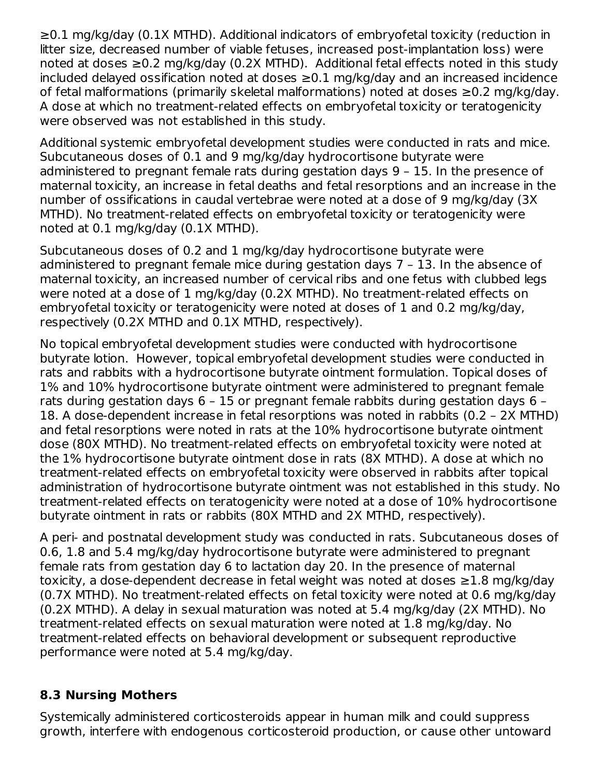≥0.1 mg/kg/day (0.1X MTHD). Additional indicators of embryofetal toxicity (reduction in litter size, decreased number of viable fetuses, increased post-implantation loss) were noted at doses ≥0.2 mg/kg/day (0.2X MTHD). Additional fetal effects noted in this study included delayed ossification noted at doses ≥0.1 mg/kg/day and an increased incidence of fetal malformations (primarily skeletal malformations) noted at doses ≥0.2 mg/kg/day. A dose at which no treatment-related effects on embryofetal toxicity or teratogenicity were observed was not established in this study.

Additional systemic embryofetal development studies were conducted in rats and mice. Subcutaneous doses of 0.1 and 9 mg/kg/day hydrocortisone butyrate were administered to pregnant female rats during gestation days 9 – 15. In the presence of maternal toxicity, an increase in fetal deaths and fetal resorptions and an increase in the number of ossifications in caudal vertebrae were noted at a dose of 9 mg/kg/day (3X MTHD). No treatment-related effects on embryofetal toxicity or teratogenicity were noted at 0.1 mg/kg/day (0.1X MTHD).

Subcutaneous doses of 0.2 and 1 mg/kg/day hydrocortisone butyrate were administered to pregnant female mice during gestation days 7 – 13. In the absence of maternal toxicity, an increased number of cervical ribs and one fetus with clubbed legs were noted at a dose of 1 mg/kg/day (0.2X MTHD). No treatment-related effects on embryofetal toxicity or teratogenicity were noted at doses of 1 and 0.2 mg/kg/day, respectively (0.2X MTHD and 0.1X MTHD, respectively).

No topical embryofetal development studies were conducted with hydrocortisone butyrate lotion. However, topical embryofetal development studies were conducted in rats and rabbits with a hydrocortisone butyrate ointment formulation. Topical doses of 1% and 10% hydrocortisone butyrate ointment were administered to pregnant female rats during gestation days 6 – 15 or pregnant female rabbits during gestation days 6 – 18. A dose-dependent increase in fetal resorptions was noted in rabbits (0.2 – 2X MTHD) and fetal resorptions were noted in rats at the 10% hydrocortisone butyrate ointment dose (80X MTHD). No treatment-related effects on embryofetal toxicity were noted at the 1% hydrocortisone butyrate ointment dose in rats (8X MTHD). A dose at which no treatment-related effects on embryofetal toxicity were observed in rabbits after topical administration of hydrocortisone butyrate ointment was not established in this study. No treatment-related effects on teratogenicity were noted at a dose of 10% hydrocortisone butyrate ointment in rats or rabbits (80X MTHD and 2X MTHD, respectively).

A peri- and postnatal development study was conducted in rats. Subcutaneous doses of 0.6, 1.8 and 5.4 mg/kg/day hydrocortisone butyrate were administered to pregnant female rats from gestation day 6 to lactation day 20. In the presence of maternal toxicity, a dose-dependent decrease in fetal weight was noted at doses ≥1.8 mg/kg/day (0.7X MTHD). No treatment-related effects on fetal toxicity were noted at 0.6 mg/kg/day (0.2X MTHD). A delay in sexual maturation was noted at 5.4 mg/kg/day (2X MTHD). No treatment-related effects on sexual maturation were noted at 1.8 mg/kg/day. No treatment-related effects on behavioral development or subsequent reproductive performance were noted at 5.4 mg/kg/day.

## **8.3 Nursing Mothers**

Systemically administered corticosteroids appear in human milk and could suppress growth, interfere with endogenous corticosteroid production, or cause other untoward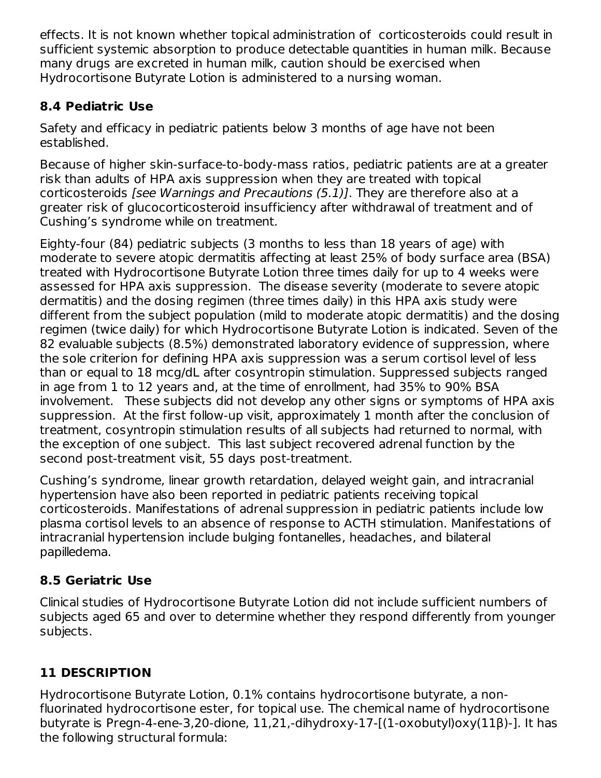effects. It is not known whether topical administration of corticosteroids could result in sufficient systemic absorption to produce detectable quantities in human milk. Because many drugs are excreted in human milk, caution should be exercised when Hydrocortisone Butyrate Lotion is administered to a nursing woman.

# **8.4 Pediatric Use**

Safety and efficacy in pediatric patients below 3 months of age have not been established.

Because of higher skin-surface-to-body-mass ratios, pediatric patients are at a greater risk than adults of HPA axis suppression when they are treated with topical corticosteroids [see Warnings and Precautions (5.1)]. They are therefore also at a greater risk of glucocorticosteroid insufficiency after withdrawal of treatment and of Cushing's syndrome while on treatment.

Eighty-four (84) pediatric subjects (3 months to less than 18 years of age) with moderate to severe atopic dermatitis affecting at least 25% of body surface area (BSA) treated with Hydrocortisone Butyrate Lotion three times daily for up to 4 weeks were assessed for HPA axis suppression. The disease severity (moderate to severe atopic dermatitis) and the dosing regimen (three times daily) in this HPA axis study were different from the subject population (mild to moderate atopic dermatitis) and the dosing regimen (twice daily) for which Hydrocortisone Butyrate Lotion is indicated. Seven of the 82 evaluable subjects (8.5%) demonstrated laboratory evidence of suppression, where the sole criterion for defining HPA axis suppression was a serum cortisol level of less than or equal to 18 mcg/dL after cosyntropin stimulation. Suppressed subjects ranged in age from 1 to 12 years and, at the time of enrollment, had 35% to 90% BSA involvement. These subjects did not develop any other signs or symptoms of HPA axis suppression. At the first follow-up visit, approximately 1 month after the conclusion of treatment, cosyntropin stimulation results of all subjects had returned to normal, with the exception of one subject. This last subject recovered adrenal function by the second post-treatment visit, 55 days post-treatment.

Cushing's syndrome, linear growth retardation, delayed weight gain, and intracranial hypertension have also been reported in pediatric patients receiving topical corticosteroids. Manifestations of adrenal suppression in pediatric patients include low plasma cortisol levels to an absence of response to ACTH stimulation. Manifestations of intracranial hypertension include bulging fontanelles, headaches, and bilateral papilledema.

# **8.5 Geriatric Use**

Clinical studies of Hydrocortisone Butyrate Lotion did not include sufficient numbers of subjects aged 65 and over to determine whether they respond differently from younger subjects.

# **11 DESCRIPTION**

Hydrocortisone Butyrate Lotion, 0.1% contains hydrocortisone butyrate, a nonfluorinated hydrocortisone ester, for topical use. The chemical name of hydrocortisone butyrate is Pregn-4-ene-3,20-dione, 11,21,-dihydroxy-17-[(1-oxobutyl)oxy(11β)-]. It has the following structural formula: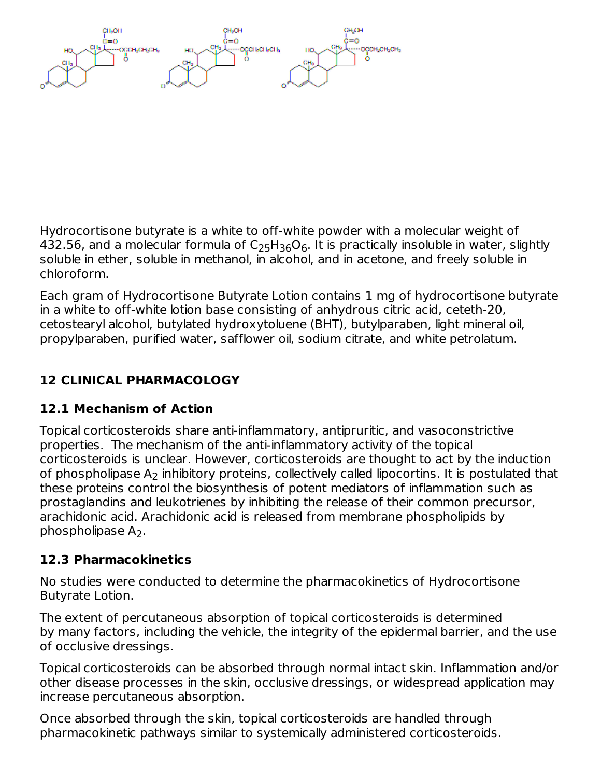Hydrocortisone butyrate is a white to off-white powder with a molecular weight of 432.56, and a molecular formula of  $\mathsf{C}_2$ 5H $_{36}\mathsf{O}_6$ . It is practically insoluble in water, slightly soluble in ether, soluble in methanol, in alcohol, and in acetone, and freely soluble in chloroform.

Each gram of Hydrocortisone Butyrate Lotion contains 1 mg of hydrocortisone butyrate in a white to off-white lotion base consisting of anhydrous citric acid, ceteth-20, cetostearyl alcohol, butylated hydroxytoluene (BHT), butylparaben, light mineral oil, propylparaben, purified water, safflower oil, sodium citrate, and white petrolatum.

# **12 CLINICAL PHARMACOLOGY**

# **12.1 Mechanism of Action**

Topical corticosteroids share anti-inflammatory, antipruritic, and vasoconstrictive properties. The mechanism of the anti-inflammatory activity of the topical corticosteroids is unclear. However, corticosteroids are thought to act by the induction of phospholipase  ${\sf A_2}$  inhibitory proteins, collectively called lipocortins. It is postulated that these proteins control the biosynthesis of potent mediators of inflammation such as prostaglandins and leukotrienes by inhibiting the release of their common precursor, arachidonic acid. Arachidonic acid is released from membrane phospholipids by phospholipase  $A_2$ .

# **12.3 Pharmacokinetics**

No studies were conducted to determine the pharmacokinetics of Hydrocortisone Butyrate Lotion.

The extent of percutaneous absorption of topical corticosteroids is determined by many factors, including the vehicle, the integrity of the epidermal barrier, and the use of occlusive dressings.

Topical corticosteroids can be absorbed through normal intact skin. Inflammation and/or other disease processes in the skin, occlusive dressings, or widespread application may increase percutaneous absorption.

Once absorbed through the skin, topical corticosteroids are handled through pharmacokinetic pathways similar to systemically administered corticosteroids.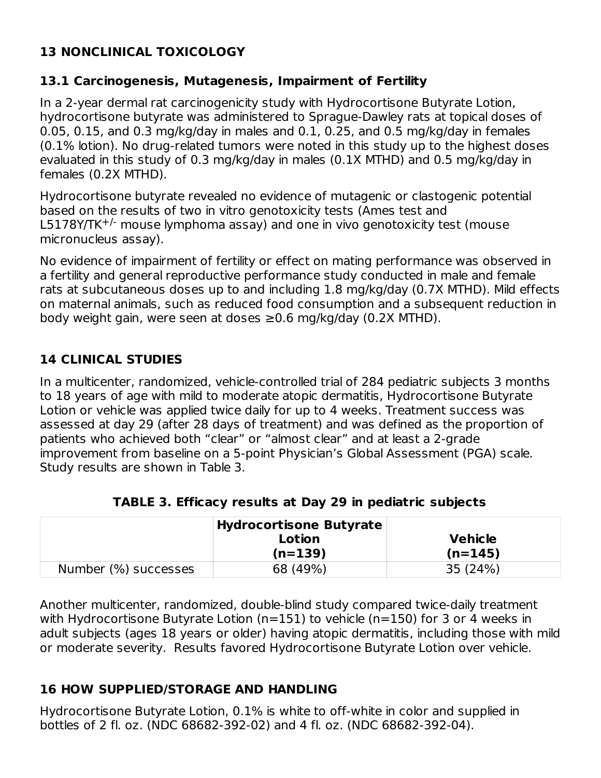# **13 NONCLINICAL TOXICOLOGY**

#### **13.1 Carcinogenesis, Mutagenesis, Impairment of Fertility**

In a 2-year dermal rat carcinogenicity study with Hydrocortisone Butyrate Lotion, hydrocortisone butyrate was administered to Sprague-Dawley rats at topical doses of 0.05, 0.15, and 0.3 mg/kg/day in males and 0.1, 0.25, and 0.5 mg/kg/day in females (0.1% lotion). No drug-related tumors were noted in this study up to the highest doses evaluated in this study of 0.3 mg/kg/day in males (0.1X MTHD) and 0.5 mg/kg/day in females (0.2X MTHD).

Hydrocortisone butyrate revealed no evidence of mutagenic or clastogenic potential based on the results of two in vitro genotoxicity tests (Ames test and  $L5178$ Y/TK<sup>+/-</sup> mouse lymphoma assay) and one in vivo genotoxicity test (mouse micronucleus assay).

No evidence of impairment of fertility or effect on mating performance was observed in a fertility and general reproductive performance study conducted in male and female rats at subcutaneous doses up to and including 1.8 mg/kg/day (0.7X MTHD). Mild effects on maternal animals, such as reduced food consumption and a subsequent reduction in body weight gain, were seen at doses ≥0.6 mg/kg/day (0.2X MTHD).

## **14 CLINICAL STUDIES**

In a multicenter, randomized, vehicle-controlled trial of 284 pediatric subjects 3 months to 18 years of age with mild to moderate atopic dermatitis, Hydrocortisone Butyrate Lotion or vehicle was applied twice daily for up to 4 weeks. Treatment success was assessed at day 29 (after 28 days of treatment) and was defined as the proportion of patients who achieved both "clear" or "almost clear" and at least a 2-grade improvement from baseline on a 5-point Physician's Global Assessment (PGA) scale. Study results are shown in Table 3.

|                      | Hydrocortisone Butyrate |                |
|----------------------|-------------------------|----------------|
|                      | Lotion                  | <b>Vehicle</b> |
|                      | $(n=139)$               | $(n=145)$      |
| Number (%) successes | 68 (49%)                | 35 (24%)       |

|  | TABLE 3. Efficacy results at Day 29 in pediatric subjects |
|--|-----------------------------------------------------------|
|--|-----------------------------------------------------------|

Another multicenter, randomized, double-blind study compared twice-daily treatment with Hydrocortisone Butyrate Lotion (n=151) to vehicle (n=150) for 3 or 4 weeks in adult subjects (ages 18 years or older) having atopic dermatitis, including those with mild or moderate severity. Results favored Hydrocortisone Butyrate Lotion over vehicle.

## **16 HOW SUPPLIED/STORAGE AND HANDLING**

Hydrocortisone Butyrate Lotion, 0.1% is white to off-white in color and supplied in bottles of 2 fl. oz. (NDC 68682-392-02) and 4 fl. oz. (NDC 68682-392-04).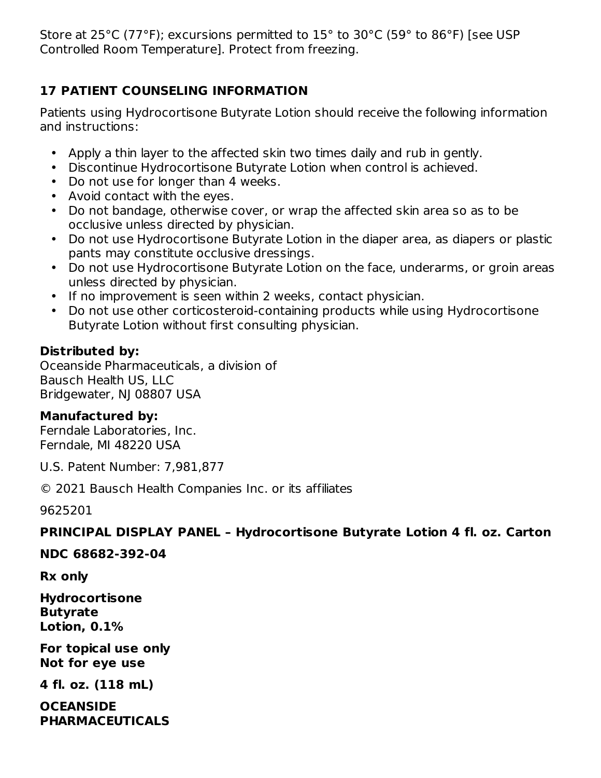Store at 25°C (77°F); excursions permitted to 15° to 30°C (59° to 86°F) [see USP Controlled Room Temperature]. Protect from freezing.

# **17 PATIENT COUNSELING INFORMATION**

Patients using Hydrocortisone Butyrate Lotion should receive the following information and instructions:

- Apply a thin layer to the affected skin two times daily and rub in gently.
- Discontinue Hydrocortisone Butyrate Lotion when control is achieved.
- Do not use for longer than 4 weeks.
- Avoid contact with the eyes.
- Do not bandage, otherwise cover, or wrap the affected skin area so as to be occlusive unless directed by physician.
- Do not use Hydrocortisone Butyrate Lotion in the diaper area, as diapers or plastic pants may constitute occlusive dressings.
- Do not use Hydrocortisone Butyrate Lotion on the face, underarms, or groin areas unless directed by physician.
- If no improvement is seen within 2 weeks, contact physician.
- Do not use other corticosteroid-containing products while using Hydrocortisone Butyrate Lotion without first consulting physician.

# **Distributed by:**

Oceanside Pharmaceuticals, a division of Bausch Health US, LLC Bridgewater, NJ 08807 USA

# **Manufactured by:**

Ferndale Laboratories, Inc. Ferndale, MI 48220 USA

U.S. Patent Number: 7,981,877

© 2021 Bausch Health Companies Inc. or its affiliates

9625201

# **PRINCIPAL DISPLAY PANEL – Hydrocortisone Butyrate Lotion 4 fl. oz. Carton**

#### **NDC 68682-392-04**

**Rx only**

**Hydrocortisone Butyrate Lotion, 0.1%**

**For topical use only Not for eye use**

**4 fl. oz. (118 mL)**

**OCEANSIDE PHARMACEUTICALS**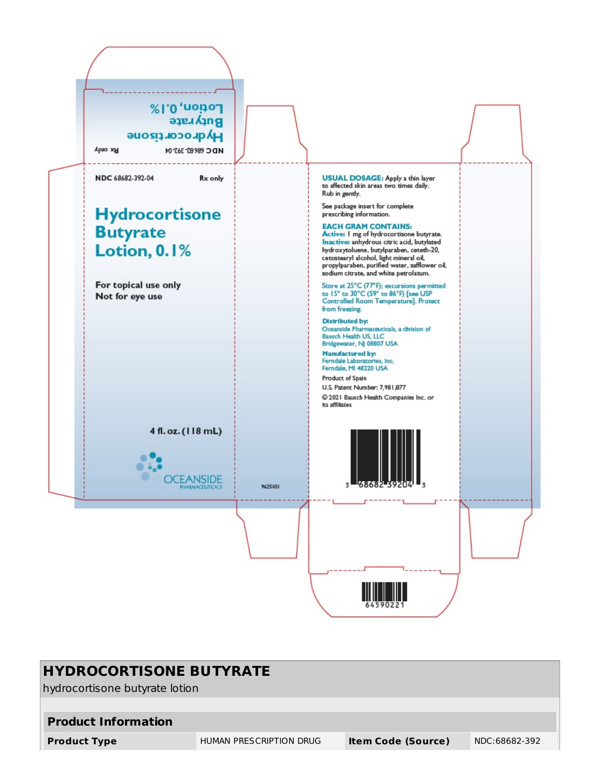

| <b>HYDROCORTISONE BUTYRATE</b>                                                               |                                |  |  |  |  |  |
|----------------------------------------------------------------------------------------------|--------------------------------|--|--|--|--|--|
|                                                                                              | hydrocortisone butyrate lotion |  |  |  |  |  |
|                                                                                              |                                |  |  |  |  |  |
| <b>Product Information</b>                                                                   |                                |  |  |  |  |  |
| HUMAN PRESCRIPTION DRUG<br><b>Item Code (Source)</b><br><b>Product Type</b><br>NDC:68682-392 |                                |  |  |  |  |  |